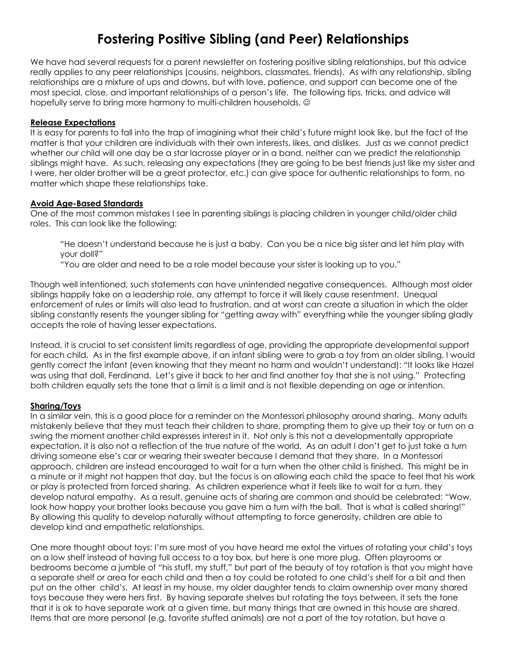# **Fostering Positive Sibling (and Peer) Relationships**

We have had several requests for a parent newsletter on fostering positive sibling relationships, but this advice really applies to any peer relationships (cousins, neighbors, classmates, friends). As with any relationship, sibling relationships are a mixture of ups and downs, but with love, patience, and support can become one of the most special, close, and important relationships of a person's life. The following tips, tricks, and advice will hopefully serve to bring more harmony to multi-children households.  $\odot$ 

### **Release Expectations**

It is easy for parents to fall into the trap of imagining what their child's future might look like, but the fact of the matter is that your children are individuals with their own interests, likes, and dislikes. Just as we cannot predict whether our child will one day be a star lacrosse player or in a band, neither can we predict the relationship siblings might have. As such, releasing any expectations (they are going to be best friends just like my sister and I were, her older brother will be a great protector, etc.) can give space for authentic relationships to form, no matter which shape these relationships take.

### **Avoid Age-Based Standards**

One of the most common mistakes I see in parenting siblings is placing children in younger child/older child roles. This can look like the following:

"He doesn't understand because he is just a baby. Can you be a nice big sister and let him play with your doll?"

"You are older and need to be a role model because your sister is looking up to you."

Though well intentioned, such statements can have unintended negative consequences. Although most older siblings happily take on a leadership role, any attempt to force it will likely cause resentment. Unequal enforcement of rules or limits will also lead to frustration, and at worst can create a situation in which the older sibling constantly resents the younger sibling for "getting away with" everything while the younger sibling gladly accepts the role of having lesser expectations.

Instead, it is crucial to set consistent limits regardless of age, providing the appropriate developmental support for each child. As in the first example above, if an infant sibling were to grab a toy from an older sibling, I would gently correct the infant (even knowing that they meant no harm and wouldn't understand): "It looks like Hazel was using that doll, Ferdinand. Let's give it back to her and find another toy that she is not using." Protecting both children equally sets the tone that a limit is a limit and is not flexible depending on age or intention.

## **Sharing/Toys**

In a similar vein, this is a good place for a reminder on the Montessori philosophy around sharing. Many adults mistakenly believe that they must teach their children to share, prompting them to give up their toy or turn on a swing the moment another child expresses interest in it. Not only is this not a developmentally appropriate expectation, it is also not a reflection of the true nature of the world. As an adult I don't get to just take a turn driving someone else's car or wearing their sweater because I demand that they share. In a Montessori approach, children are instead encouraged to wait for a turn when the other child is finished. This might be in a minute or it might not happen that day, but the focus is on allowing each child the space to feel that his work or play is protected from forced sharing. As children experience what it feels like to wait for a turn, they develop natural empathy. As a result, genuine acts of sharing are common and should be celebrated: "Wow, look how happy your brother looks because you gave him a turn with the ball. That is what is called sharing!" By allowing this quality to develop naturally without attempting to force generosity, children are able to develop kind and empathetic relationships.

One more thought about toys: I'm sure most of you have heard me extol the virtues of rotating your child's toys on a low shelf instead of having full access to a toy box, but here is one more plug. Often playrooms or bedrooms become a jumble of "his stuff, my stuff," but part of the beauty of toy rotation is that you might have a separate shelf or area for each child and then a toy could be rotated to one child's shelf for a bit and then put on the other child's. At least in my house, my older daughter tends to claim ownership over many shared toys because they were hers first. By having separate shelves but rotating the toys between, it sets the tone that it is ok to have separate work at a given time, but many things that are owned in this house are shared. Items that are more personal (e.g. favorite stuffed animals) are not a part of the toy rotation, but have a